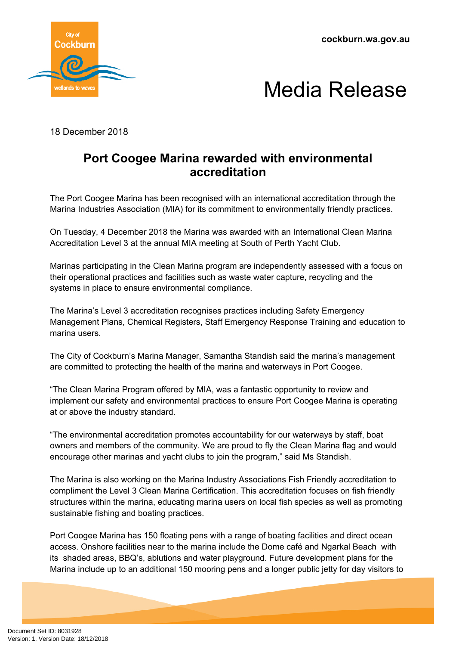**cockburn.wa.gov.au**





18 December 2018

## **Port Coogee Marina rewarded with environmental accreditation**

The Port Coogee Marina has been recognised with an international accreditation through the Marina Industries Association (MIA) for its commitment to environmentally friendly practices.

On Tuesday, 4 December 2018 the Marina was awarded with an International Clean Marina Accreditation Level 3 at the annual MIA meeting at South of Perth Yacht Club.

Marinas participating in the Clean Marina program are independently assessed with a focus on their operational practices and facilities such as waste water capture, recycling and the systems in place to ensure environmental compliance.

The Marina's Level 3 accreditation recognises practices including Safety Emergency Management Plans, Chemical Registers, Staff Emergency Response Training and education to marina users.

The City of Cockburn's Marina Manager, Samantha Standish said the marina's management are committed to protecting the health of the marina and waterways in Port Coogee.

"The Clean Marina Program offered by MIA, was a fantastic opportunity to review and implement our safety and environmental practices to ensure Port Coogee Marina is operating at or above the industry standard.

"The environmental accreditation promotes accountability for our waterways by staff, boat owners and members of the community. We are proud to fly the Clean Marina flag and would encourage other marinas and yacht clubs to join the program," said Ms Standish.

The Marina is also working on the Marina Industry Associations Fish Friendly accreditation to compliment the Level 3 Clean Marina Certification. This accreditation focuses on fish friendly structures within the marina, educating marina users on local fish species as well as promoting sustainable fishing and boating practices.

Port Coogee Marina has 150 floating pens with a range of boating facilities and direct ocean access. Onshore facilities near to the marina include the Dome café and Ngarkal Beach with its shaded areas, BBQ's, ablutions and water playground. Future development plans for the Marina include up to an additional 150 mooring pens and a longer public jetty for day visitors to